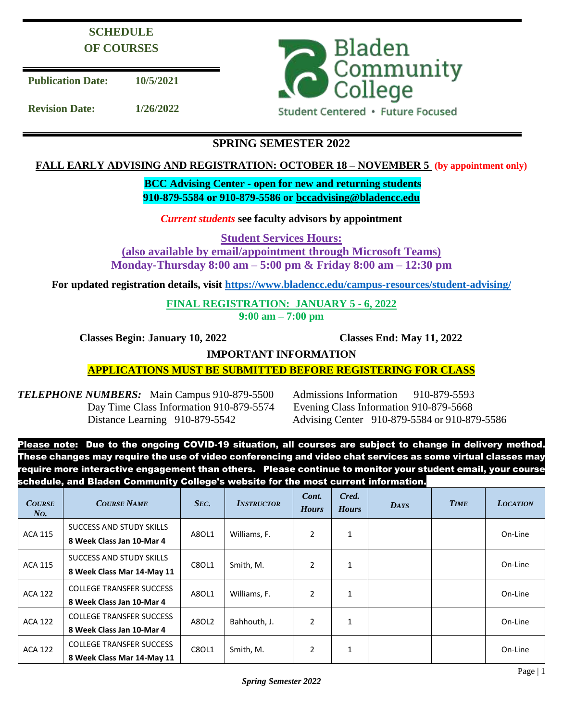# **SCHEDULE OF COURSES**

**Publication Date: 10/5/2021**

**Revision Date: 1/26/2022**



Student Centered · Future Focused

## **SPRING SEMESTER 2022**

## **FALL EARLY ADVISING AND REGISTRATION: OCTOBER 18 – NOVEMBER 5 (by appointment only)**

## **BCC Advising Center - open for new and returning students 910-879-5584 or 910-879-5586 or [bccadvising@bladencc.edu](mailto:bccadvising@bladencc.edu)**

## *Current students* **see faculty advisors by appointment**

**Student Services Hours:**

**(also available by email/appointment through Microsoft Teams)**

**Monday-Thursday 8:00 am – 5:00 pm & Friday 8:00 am – 12:30 pm**

**For updated registration details, visit<https://www.bladencc.edu/campus-resources/student-advising/>**

**FINAL REGISTRATION: JANUARY 5 - 6, 2022 9:00 am – 7:00 pm**

 **Classes Begin: January 10, 2022 Classes End: May 11, 2022**

**IMPORTANT INFORMATION**

**APPLICATIONS MUST BE SUBMITTED BEFORE REGISTERING FOR CLASS**

*TELEPHONE NUMBERS:* Main Campus 910-879-5500 Admissions Information 910-879-5593 Day Time Class Information 910-879-5574 Evening Class Information 910-879-5668

Distance Learning 910-879-5542 Advising Center 910-879-5584 or 910-879-5586

Please note: Due to the ongoing COVID-19 situation, all courses are subject to change in delivery method. These changes may require the use of video conferencing and video chat services as some virtual classes may require more interactive engagement than others. Please continue to monitor your student email, your course schedule, and Bladen Community College's website for the most current information.

| <b>COURSE</b><br>No. | <b>COURSE NAME</b>                                            | SEC.  | <b>INSTRUCTOR</b> | Cont.<br><b>Hours</b> | Cred.<br><b>Hours</b> | <b>DAYS</b> | <b>TIME</b> | <b>LOCATION</b> |
|----------------------|---------------------------------------------------------------|-------|-------------------|-----------------------|-----------------------|-------------|-------------|-----------------|
| <b>ACA 115</b>       | SUCCESS AND STUDY SKILLS<br>8 Week Class Jan 10-Mar 4         | A8OL1 | Williams, F.      | $\overline{2}$        | $\mathbf{1}$          |             |             | On-Line         |
| <b>ACA 115</b>       | SUCCESS AND STUDY SKILLS<br>8 Week Class Mar 14-May 11        | C8OL1 | Smith, M.         | $\overline{2}$        | 1                     |             |             | On-Line         |
| <b>ACA 122</b>       | <b>COLLEGE TRANSFER SUCCESS</b><br>8 Week Class Jan 10-Mar 4  | A8OL1 | Williams, F.      | $\overline{2}$        | 1                     |             |             | On-Line         |
| <b>ACA 122</b>       | <b>COLLEGE TRANSFER SUCCESS</b><br>8 Week Class Jan 10-Mar 4  | A8OL2 | Bahhouth, J.      | $\overline{2}$        | $\mathbf{1}$          |             |             | On-Line         |
| <b>ACA 122</b>       | <b>COLLEGE TRANSFER SUCCESS</b><br>8 Week Class Mar 14-May 11 | C8OL1 | Smith, M.         | $\overline{2}$        | $\mathbf{1}$          |             |             | On-Line         |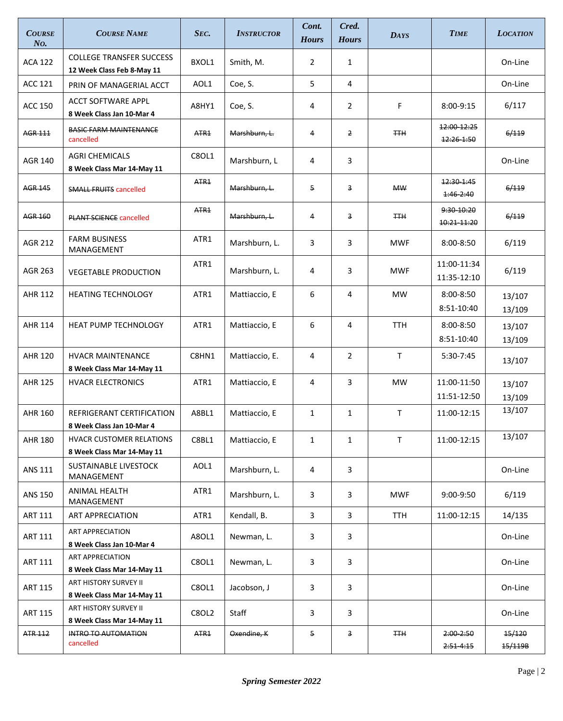| <b>COURSE</b><br>No. | <b>COURSE NAME</b>                                            | SEC.             | <b>INSTRUCTOR</b> | Cont.<br><b>Hours</b> | Cred.<br><b>Hours</b> | <b>DAYS</b> | <b>TIME</b>                    | <b>LOCATION</b>   |
|----------------------|---------------------------------------------------------------|------------------|-------------------|-----------------------|-----------------------|-------------|--------------------------------|-------------------|
| <b>ACA 122</b>       | <b>COLLEGE TRANSFER SUCCESS</b><br>12 Week Class Feb 8-May 11 | BXOL1            | Smith, M.         | $\overline{2}$        | $\mathbf{1}$          |             |                                | On-Line           |
| <b>ACC 121</b>       | PRIN OF MANAGERIAL ACCT                                       | AOL1             | Coe, S.           | 5                     | 4                     |             |                                | On-Line           |
| ACC 150              | <b>ACCT SOFTWARE APPL</b><br>8 Week Class Jan 10-Mar 4        | A8HY1            | Coe, S.           | 4                     | $\overline{2}$        | F           | 8:00-9:15                      | 6/117             |
| <b>AGR 111</b>       | <b>BASIC FARM MAINTENANCE</b><br>cancelled                    | ATR <sub>1</sub> | Marshburn, L.     | 4                     | $\overline{2}$        | <b>TTH</b>  | 12:00 12:25<br>12:26-1:50      | 6/119             |
| <b>AGR 140</b>       | <b>AGRI CHEMICALS</b><br>8 Week Class Mar 14-May 11           | C8OL1            | Marshburn, L      | 4                     | 3                     |             |                                | On-Line           |
| <b>AGR 145</b>       | <b>SMALL FRUITS cancelled</b>                                 | ATR <sub>1</sub> | Marshburn, L.     | 5                     | 3                     | <b>MW</b>   | 12:30-1:45<br>$1:46 - 2:40$    | 6/119             |
| <b>AGR 160</b>       | <b>PLANT SCIENCE cancelled</b>                                | ATR <sub>1</sub> | Marshburn, L.     | $\overline{4}$        | 3                     | <b>TTH</b>  | 9:30 10:20<br>10:21-11:20      | 6/119             |
| <b>AGR 212</b>       | <b>FARM BUSINESS</b><br>MANAGEMENT                            | ATR1             | Marshburn, L.     | 3                     | 3                     | <b>MWF</b>  | $8:00 - 8:50$                  | 6/119             |
| AGR 263              | <b>VEGETABLE PRODUCTION</b>                                   | ATR1             | Marshburn, L.     | 4                     | 3                     | <b>MWF</b>  | 11:00-11:34<br>11:35-12:10     | 6/119             |
| AHR 112              | <b>HEATING TECHNOLOGY</b>                                     | ATR1             | Mattiaccio, E     | 6                     | 4                     | <b>MW</b>   | 8:00-8:50<br>8:51-10:40        | 13/107<br>13/109  |
| AHR 114              | <b>HEAT PUMP TECHNOLOGY</b>                                   | ATR1             | Mattiaccio, E     | 6                     | 4                     | TTH         | $8:00 - 8:50$<br>8:51-10:40    | 13/107<br>13/109  |
| <b>AHR 120</b>       | <b>HVACR MAINTENANCE</b><br>8 Week Class Mar 14-May 11        | C8HN1            | Mattiaccio, E.    | 4                     | $\overline{2}$        | T.          | 5:30-7:45                      | 13/107            |
| <b>AHR 125</b>       | <b>HVACR ELECTRONICS</b>                                      | ATR1             | Mattiaccio, E     | 4                     | 3                     | <b>MW</b>   | 11:00-11:50<br>11:51-12:50     | 13/107<br>13/109  |
| AHR 160              | REFRIGERANT CERTIFICATION<br>8 Week Class Jan 10-Mar 4        | A8BL1            | Mattiaccio, E     | 1                     | $\mathbf{1}$          | T           | 11:00-12:15                    | 13/107            |
| <b>AHR 180</b>       | <b>HVACR CUSTOMER RELATIONS</b><br>8 Week Class Mar 14-May 11 | C8BL1            | Mattiaccio, E     | 1                     | $\mathbf{1}$          | T           | 11:00-12:15                    | 13/107            |
| <b>ANS 111</b>       | SUSTAINABLE LIVESTOCK<br>MANAGEMENT                           | AOL1             | Marshburn, L.     | 4                     | 3                     |             |                                | On-Line           |
| <b>ANS 150</b>       | ANIMAL HEALTH<br>MANAGEMENT                                   | ATR1             | Marshburn, L.     | 3                     | 3                     | <b>MWF</b>  | $9:00-9:50$                    | 6/119             |
| ART 111              | <b>ART APPRECIATION</b>                                       | ATR1             | Kendall, B.       | 3                     | 3                     | TTH         | 11:00-12:15                    | 14/135            |
| ART 111              | <b>ART APPRECIATION</b><br>8 Week Class Jan 10-Mar 4          | A8OL1            | Newman, L.        | 3                     | 3                     |             |                                | On-Line           |
| ART 111              | <b>ART APPRECIATION</b><br>8 Week Class Mar 14-May 11         | <b>C8OL1</b>     | Newman, L.        | 3                     | 3                     |             |                                | On-Line           |
| ART 115              | ART HISTORY SURVEY II<br>8 Week Class Mar 14-May 11           | C8OL1            | Jacobson, J       | 3                     | 3                     |             |                                | On-Line           |
| ART 115              | ART HISTORY SURVEY II<br>8 Week Class Mar 14-May 11           | <b>C8OL2</b>     | Staff             | 3                     | 3                     |             |                                | On-Line           |
| ATR 112              | INTRO TO AUTOMATION<br>cancelled                              | ATR <sub>1</sub> | Oxendine, K       | 5                     | 3                     | ŦŦĦ         | $2:00 - 2:50$<br>$2:51 - 4:15$ | 15/120<br>15/119B |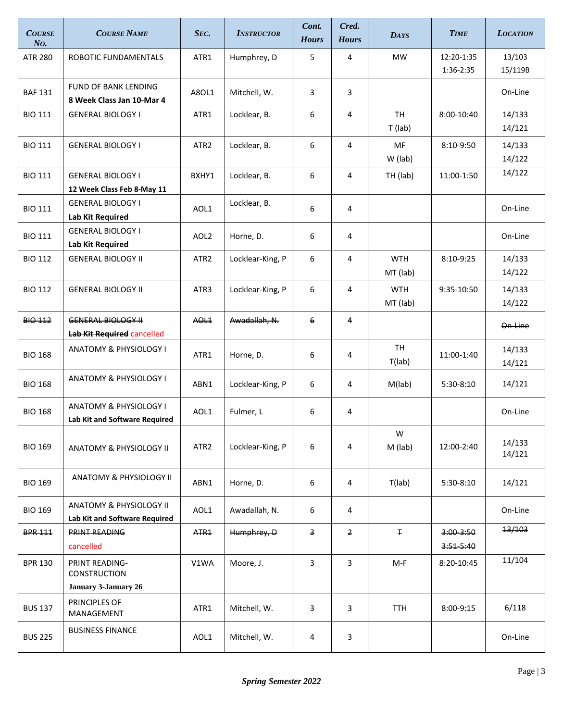| <b>COURSE</b><br>No. | <b>COURSE NAME</b>                                                 | SEC.             | <b>INSTRUCTOR</b> | Cont.<br><b>Hours</b>   | Cred.<br><b>Hours</b> | <b>DAYS</b>            | <b>TIME</b>               | <b>LOCATION</b>   |
|----------------------|--------------------------------------------------------------------|------------------|-------------------|-------------------------|-----------------------|------------------------|---------------------------|-------------------|
| <b>ATR 280</b>       | ROBOTIC FUNDAMENTALS                                               | ATR1             | Humphrey, D       | 5                       | 4                     | <b>MW</b>              | 12:20-1:35<br>1:36-2:35   | 13/103<br>15/119B |
| <b>BAF 131</b>       | <b>FUND OF BANK LENDING</b><br>8 Week Class Jan 10-Mar 4           | A8OL1            | Mitchell, W.      | 3                       | 3                     |                        |                           | On-Line           |
| <b>BIO 111</b>       | <b>GENERAL BIOLOGY I</b>                                           | ATR1             | Locklear, B.      | 6                       | 4                     | <b>TH</b><br>$T$ (lab) | 8:00-10:40                | 14/133<br>14/121  |
| <b>BIO 111</b>       | <b>GENERAL BIOLOGY I</b>                                           | ATR <sub>2</sub> | Locklear, B.      | 6                       | 4                     | MF<br>W (lab)          | 8:10-9:50                 | 14/133<br>14/122  |
| <b>BIO 111</b>       | <b>GENERAL BIOLOGY I</b><br>12 Week Class Feb 8-May 11             | BXHY1            | Locklear, B.      | 6                       | 4                     | TH (lab)               | 11:00-1:50                | 14/122            |
| <b>BIO 111</b>       | <b>GENERAL BIOLOGY I</b><br><b>Lab Kit Required</b>                | AOL1             | Locklear, B.      | 6                       | 4                     |                        |                           | On-Line           |
| <b>BIO 111</b>       | <b>GENERAL BIOLOGY I</b><br><b>Lab Kit Required</b>                | AOL <sub>2</sub> | Horne, D.         | 6                       | 4                     |                        |                           | On-Line           |
| <b>BIO 112</b>       | <b>GENERAL BIOLOGY II</b>                                          | ATR <sub>2</sub> | Locklear-King, P  | 6                       | 4                     | <b>WTH</b><br>MT (lab) | 8:10-9:25                 | 14/133<br>14/122  |
| <b>BIO 112</b>       | <b>GENERAL BIOLOGY II</b>                                          | ATR3             | Locklear-King, P  | 6                       | 4                     | <b>WTH</b><br>MT (lab) | 9:35-10:50                | 14/133<br>14/122  |
| <b>BIO 112</b>       | <b>GENERAL BIOLOGY II</b><br>Lab Kit Required cancelled            | AOL <sub>1</sub> | Awadallah, N.     | 6                       | $\overline{4}$        |                        |                           | On-Line           |
| <b>BIO 168</b>       | ANATOMY & PHYSIOLOGY I                                             | ATR1             | Horne, D.         | 6                       | 4                     | <b>TH</b><br>T(lab)    | 11:00-1:40                | 14/133<br>14/121  |
| <b>BIO 168</b>       | <b>ANATOMY &amp; PHYSIOLOGY I</b>                                  | ABN1             | Locklear-King, P  | 6                       | 4                     | M(lab)                 | 5:30-8:10                 | 14/121            |
| <b>BIO 168</b>       | <b>ANATOMY &amp; PHYSIOLOGY I</b><br>Lab Kit and Software Required | AOL1             | Fulmer, L         | 6                       | 4                     |                        |                           | On-Line           |
| <b>BIO 169</b>       | ANATOMY & PHYSIOLOGY II                                            | ATR <sub>2</sub> | Locklear-King, P  | 6                       | 4                     | W<br>M (lab)           | 12:00-2:40                | 14/133<br>14/121  |
| <b>BIO 169</b>       | ANATOMY & PHYSIOLOGY II                                            | ABN1             | Horne, D.         | 6                       | 4                     | T(lab)                 | 5:30-8:10                 | 14/121            |
| <b>BIO 169</b>       | ANATOMY & PHYSIOLOGY II<br>Lab Kit and Software Required           | AOL1             | Awadallah, N.     | 6                       | 4                     |                        |                           | On-Line           |
| <b>BPR 111</b>       | <b>PRINT READING</b><br>cancelled                                  | ATR <sub>1</sub> | Humphrey, D       | $\overline{\mathbf{3}}$ | $\overline{2}$        | Ŧ.                     | $3:00 - 3:50$<br>3:515:40 | 13/103            |
| <b>BPR 130</b>       | PRINT READING-<br>CONSTRUCTION<br>January 3-January 26             | V1WA             | Moore, J.         | 3                       | 3                     | M-F                    | 8:20-10:45                | 11/104            |
| <b>BUS 137</b>       | PRINCIPLES OF<br>MANAGEMENT                                        | ATR1             | Mitchell, W.      | 3                       | 3                     | TTH                    | 8:00-9:15                 | 6/118             |
| <b>BUS 225</b>       | <b>BUSINESS FINANCE</b>                                            | AOL1             | Mitchell, W.      | 4                       | 3                     |                        |                           | On-Line           |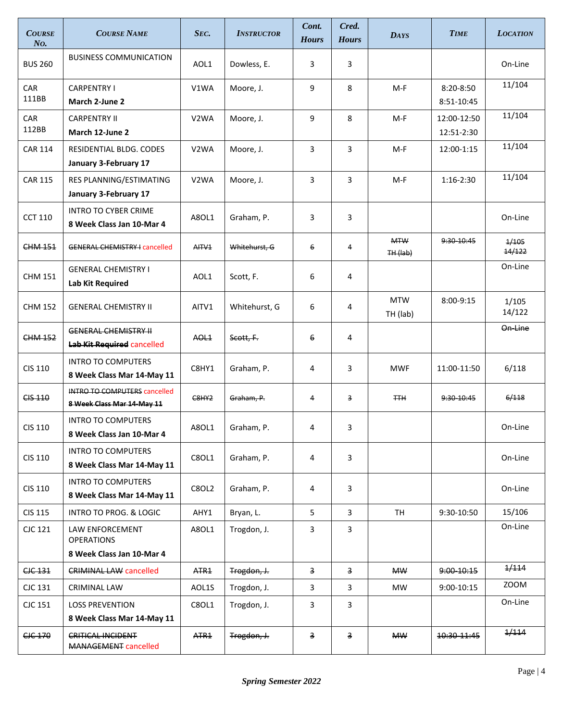| <b>COURSE</b><br>No. | <b>COURSE NAME</b>                                                | SEC.              | <b>INSTRUCTOR</b> | Cont.<br><b>Hours</b>   | Cred.<br><b>Hours</b>   | <b>DAYS</b>              | <b>TIME</b>                 | <b>LOCATION</b> |
|----------------------|-------------------------------------------------------------------|-------------------|-------------------|-------------------------|-------------------------|--------------------------|-----------------------------|-----------------|
| <b>BUS 260</b>       | <b>BUSINESS COMMUNICATION</b>                                     | AOL1              | Dowless, E.       | 3                       | 3                       |                          |                             | On-Line         |
| CAR<br>111BB         | <b>CARPENTRY I</b><br>March 2-June 2                              | V1WA              | Moore, J.         | 9                       | 8                       | M-F                      | $8:20 - 8:50$<br>8:51-10:45 | 11/104          |
| CAR<br>112BB         | <b>CARPENTRY II</b><br>March 12-June 2                            | V <sub>2</sub> WA | Moore, J.         | 9                       | 8                       | M-F                      | 12:00-12:50<br>12:51-2:30   | 11/104          |
| <b>CAR 114</b>       | RESIDENTIAL BLDG. CODES<br>January 3-February 17                  | V <sub>2</sub> WA | Moore, J.         | 3                       | 3                       | M-F                      | 12:00-1:15                  | 11/104          |
| <b>CAR 115</b>       | RES PLANNING/ESTIMATING<br>January 3-February 17                  | V <sub>2</sub> WA | Moore, J.         | 3                       | 3                       | M-F                      | 1:16-2:30                   | 11/104          |
| <b>CCT 110</b>       | <b>INTRO TO CYBER CRIME</b><br>8 Week Class Jan 10-Mar 4          | A8OL1             | Graham, P.        | 3                       | 3                       |                          |                             | On-Line         |
| CHM 151              | <b>GENERAL CHEMISTRY I cancelled</b>                              | AITV <sub>1</sub> | Whitehurst, G     | 6                       | 4                       | <b>MTW</b><br>$TH$ (lab) | 9:30-10:45                  | 1/105<br>14/122 |
| <b>CHM 151</b>       | <b>GENERAL CHEMISTRY I</b><br><b>Lab Kit Required</b>             | AOL1              | Scott, F.         | 6                       | 4                       |                          |                             | On-Line         |
| <b>CHM 152</b>       | <b>GENERAL CHEMISTRY II</b>                                       | AITV1             | Whitehurst, G     | 6                       | 4                       | <b>MTW</b><br>TH (lab)   | 8:00-9:15                   | 1/105<br>14/122 |
| <b>CHM 152</b>       | <b>GENERAL CHEMISTRY II</b><br><b>Lab Kit Required cancelled</b>  | AOL <sub>1</sub>  | Scott, F.         | 6                       | 4                       |                          |                             | On-Line         |
| CIS 110              | <b>INTRO TO COMPUTERS</b><br>8 Week Class Mar 14-May 11           | C8HY1             | Graham, P.        | 4                       | 3                       | <b>MWF</b>               | 11:00-11:50                 | 6/118           |
| <b>CIS 110</b>       | <b>INTRO TO COMPUTERS cancelled</b><br>8 Week Class Mar 14 May 11 | C <sub>8HY2</sub> | Graham, P.        | 4                       | 3                       | <b>TTH</b>               | 9:30-10:45                  | 6/118           |
| CIS 110              | <b>INTRO TO COMPUTERS</b><br>8 Week Class Jan 10-Mar 4            | A8OL1             | Graham, P.        | 4                       | 3                       |                          |                             | On-Line         |
| CIS 110              | <b>INTRO TO COMPUTERS</b><br>8 Week Class Mar 14-May 11           | C8OL1             | Graham, P.        | 4                       | 3                       |                          |                             | On-Line         |
| CIS 110              | <b>INTRO TO COMPUTERS</b><br>8 Week Class Mar 14-May 11           | <b>C8OL2</b>      | Graham, P.        | 4                       | 3                       |                          |                             | On-Line         |
| <b>CIS 115</b>       | INTRO TO PROG. & LOGIC                                            | AHY1              | Bryan, L.         | 5                       | 3                       | TH                       | 9:30-10:50                  | 15/106          |
| CJC 121              | LAW ENFORCEMENT<br><b>OPERATIONS</b><br>8 Week Class Jan 10-Mar 4 | A8OL1             | Trogdon, J.       | 3                       | 3                       |                          |                             | On-Line         |
| CJC 131              | <b>CRIMINAL LAW cancelled</b>                                     | ATR <sub>1</sub>  | Trogdon, J.       | $\overline{\mathbf{3}}$ | $\overline{\mathbf{3}}$ | <b>MW</b>                | 9:00-10:15                  | 1/114           |
| CJC 131              | <b>CRIMINAL LAW</b>                                               | AOL1S             | Trogdon, J.       | 3                       | 3                       | MW                       | 9:00-10:15                  | ZOOM            |
| CJC 151              | <b>LOSS PREVENTION</b><br>8 Week Class Mar 14-May 11              | C8OL1             | Trogdon, J.       | 3                       | 3                       |                          |                             | On-Line         |
| CJC 170              | CRITICAL INCIDENT<br><b>MANAGEMENT cancelled</b>                  | ATR <sub>1</sub>  | Trogdon, J.       | $\overline{\mathbf{3}}$ | $\overline{\mathbf{3}}$ | <b>MW</b>                | 10:30-11:45                 | 1/114           |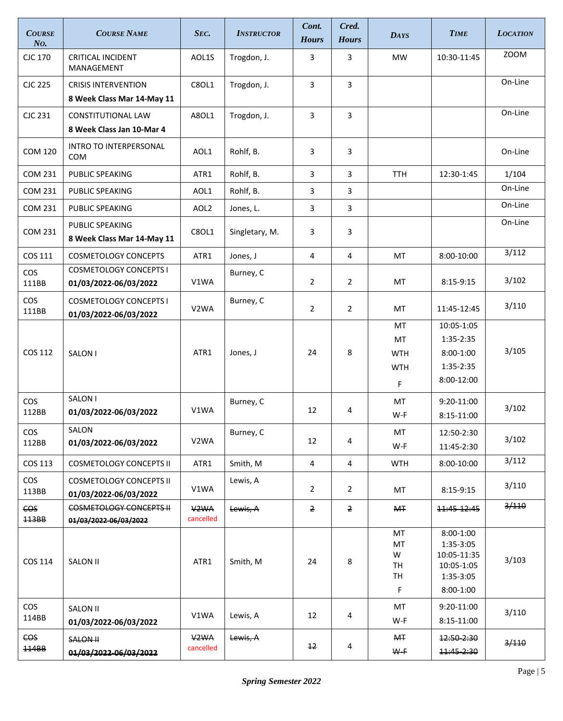| <b>COURSE</b><br>N <sub>O</sub> | <b>COURSE NAME</b>                                       | SEC.                           | <b>INSTRUCTOR</b> | Cont.<br><b>Hours</b> | Cred.<br><b>Hours</b> | <b>DAYS</b>                                | <b>TIME</b>                                                                     | <b>LOCATION</b> |
|---------------------------------|----------------------------------------------------------|--------------------------------|-------------------|-----------------------|-----------------------|--------------------------------------------|---------------------------------------------------------------------------------|-----------------|
| CJC 170                         | <b>CRITICAL INCIDENT</b><br>MANAGEMENT                   | AOL1S                          | Trogdon, J.       | 3                     | 3                     | <b>MW</b>                                  | 10:30-11:45                                                                     | <b>ZOOM</b>     |
| <b>CJC 225</b>                  | <b>CRISIS INTERVENTION</b><br>8 Week Class Mar 14-May 11 | C8OL1                          | Trogdon, J.       | 3                     | 3                     |                                            |                                                                                 | On-Line         |
| CJC 231                         | CONSTITUTIONAL LAW<br>8 Week Class Jan 10-Mar 4          | A8OL1                          | Trogdon, J.       | 3                     | 3                     |                                            |                                                                                 | On-Line         |
| <b>COM 120</b>                  | INTRO TO INTERPERSONAL<br><b>COM</b>                     | AOL1                           | Rohlf, B.         | 3                     | 3                     |                                            |                                                                                 | On-Line         |
| <b>COM 231</b>                  | PUBLIC SPEAKING                                          | ATR1                           | Rohlf, B.         | 3                     | 3                     | <b>TTH</b>                                 | 12:30-1:45                                                                      | 1/104           |
| <b>COM 231</b>                  | PUBLIC SPEAKING                                          | AOL1                           | Rohlf, B.         | 3                     | 3                     |                                            |                                                                                 | On-Line         |
| <b>COM 231</b>                  | PUBLIC SPEAKING                                          | AOL <sub>2</sub>               | Jones, L.         | 3                     | 3                     |                                            |                                                                                 | On-Line         |
| <b>COM 231</b>                  | PUBLIC SPEAKING<br>8 Week Class Mar 14-May 11            | C8OL1                          | Singletary, M.    | 3                     | 3                     |                                            |                                                                                 | On-Line         |
| COS 111                         | <b>COSMETOLOGY CONCEPTS</b>                              | ATR1                           | Jones, J          | 4                     | 4                     | МT                                         | 8:00-10:00                                                                      | 3/112           |
| <b>COS</b><br>111BB             | <b>COSMETOLOGY CONCEPTS I</b><br>01/03/2022-06/03/2022   | V1WA                           | Burney, C         | 2                     | $\overline{2}$        | MT                                         | 8:15-9:15                                                                       | 3/102           |
| <b>COS</b><br>111BB             | <b>COSMETOLOGY CONCEPTS I</b><br>01/03/2022-06/03/2022   | V <sub>2</sub> WA              | Burney, C         | $\overline{2}$        | $\overline{2}$        | МT                                         | 11:45-12:45                                                                     | 3/110           |
| COS 112                         | SALON I                                                  | ATR1                           | Jones, J          | 24                    | 8                     | МT<br>MT<br><b>WTH</b><br><b>WTH</b><br>F. | 10:05-1:05<br>1:35-2:35<br>$8:00-1:00$<br>1:35-2:35<br>8:00-12:00               | 3/105           |
| <b>COS</b><br>112BB             | SALON I<br>01/03/2022-06/03/2022                         | V1WA                           | Burney, C         | 12                    | 4                     | MT<br>W-F                                  | 9:20-11:00<br>8:15-11:00                                                        | 3/102           |
| <b>COS</b><br>112BB             | SALON<br>01/03/2022-06/03/2022                           | V <sub>2</sub> WA              | Burney, C         | 12                    | 4                     | МT<br>W-F                                  | 12:50-2:30<br>11:45-2:30                                                        | 3/102           |
| COS 113                         | <b>COSMETOLOGY CONCEPTS II</b>                           | ATR1                           | Smith, M          | $\overline{4}$        | 4                     | <b>WTH</b>                                 | 8:00-10:00                                                                      | 3/112           |
| <b>COS</b><br>113BB             | <b>COSMETOLOGY CONCEPTS II</b><br>01/03/2022-06/03/2022  | V1WA                           | Lewis, A          | 2                     | $\overline{2}$        | МT                                         | 8:15-9:15                                                                       | 3/110           |
| CO <sub>S</sub><br><b>113BB</b> | COSMETOLOGY CONCEPTS II<br>01/03/2022-06/03/2022         | V <sub>2</sub> WA<br>cancelled | Lewis, A          | 2                     | $\overline{2}$        | <b>MT</b>                                  | 11:45-12:45                                                                     | 3/110           |
| COS 114                         | SALON II                                                 | ATR1                           | Smith, M          | 24                    | 8                     | MT<br>MT<br>W<br>TH<br>TH<br>F             | $8:00-1:00$<br>1:35-3:05<br>10:05-11:35<br>10:05-1:05<br>1:35-3:05<br>8:00-1:00 | 3/103           |
| <b>COS</b><br>114BB             | <b>SALON II</b><br>01/03/2022-06/03/2022                 | V1WA                           | Lewis, A          | 12                    | 4                     | MT<br>W-F                                  | 9:20-11:00<br>8:15-11:00                                                        | 3/110           |
| CO <sub>S</sub><br>114BB        | <b>SALON H</b><br>01/03/2022 06/03/2022                  | V <sub>2</sub> WA<br>cancelled | Lewis, A          | $12^{\circ}$          | 4                     | M <sub>T</sub><br>$W-F$                    | 12:50-2:30<br>11:45-2:30                                                        | 3/110           |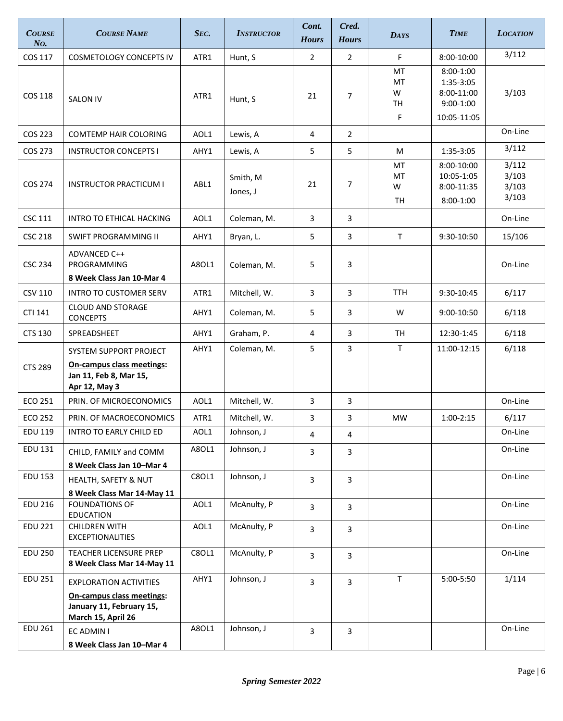| <b>COURSE</b><br>N <sub>O</sub> | <b>COURSE NAME</b>                                                                                           | Sec.  | <b>INSTRUCTOR</b>    | Cont.<br><b>Hours</b> | Cred.<br><b>Hours</b> | <b>DAYS</b>              | <b>TIME</b>                                                          | <b>LOCATION</b>                  |
|---------------------------------|--------------------------------------------------------------------------------------------------------------|-------|----------------------|-----------------------|-----------------------|--------------------------|----------------------------------------------------------------------|----------------------------------|
| COS 117                         | <b>COSMETOLOGY CONCEPTS IV</b>                                                                               | ATR1  | Hunt, S              | $\overline{2}$        | $\overline{2}$        | F                        | 8:00-10:00                                                           | 3/112                            |
| <b>COS 118</b>                  | <b>SALON IV</b>                                                                                              | ATR1  | Hunt, S              | 21                    | $\overline{7}$        | MT<br>MT<br>W<br>TH<br>F | $8:00-1:00$<br>1:35-3:05<br>8:00-11:00<br>$9:00-1:00$<br>10:05-11:05 | 3/103                            |
| COS 223                         | <b>COMTEMP HAIR COLORING</b>                                                                                 | AOL1  | Lewis, A             | 4                     | $\overline{2}$        |                          |                                                                      | On-Line                          |
| COS 273                         | <b>INSTRUCTOR CONCEPTS I</b>                                                                                 | AHY1  | Lewis, A             | 5                     | 5                     | M                        | 1:35-3:05                                                            | 3/112                            |
| COS 274                         | <b>INSTRUCTOR PRACTICUM I</b>                                                                                | ABL1  | Smith, M<br>Jones, J | 21                    | $\overline{7}$        | MT<br>MT<br>W<br>TН      | 8:00-10:00<br>10:05-1:05<br>8:00-11:35<br>$8:00-1:00$                | 3/112<br>3/103<br>3/103<br>3/103 |
| <b>CSC 111</b>                  | <b>INTRO TO ETHICAL HACKING</b>                                                                              | AOL1  | Coleman, M.          | 3                     | $\overline{3}$        |                          |                                                                      | On-Line                          |
| <b>CSC 218</b>                  | SWIFT PROGRAMMING II                                                                                         | AHY1  | Bryan, L.            | 5                     | 3                     | $\mathsf{T}$             | 9:30-10:50                                                           | 15/106                           |
| <b>CSC 234</b>                  | ADVANCED C++<br>PROGRAMMING<br>8 Week Class Jan 10-Mar 4                                                     | A8OL1 | Coleman, M.          | 5                     | 3                     |                          |                                                                      | On-Line                          |
| <b>CSV 110</b>                  | <b>INTRO TO CUSTOMER SERV</b>                                                                                | ATR1  | Mitchell, W.         | 3                     | 3                     | <b>TTH</b>               | 9:30-10:45                                                           | 6/117                            |
| CTI 141                         | <b>CLOUD AND STORAGE</b><br><b>CONCEPTS</b>                                                                  | AHY1  | Coleman, M.          | 5                     | 3                     | W                        | 9:00-10:50                                                           | 6/118                            |
| <b>CTS 130</b>                  | SPREADSHEET                                                                                                  | AHY1  | Graham, P.           | 4                     | 3                     | <b>TH</b>                | 12:30-1:45                                                           | 6/118                            |
| <b>CTS 289</b>                  | SYSTEM SUPPORT PROJECT<br><b>On-campus class meetings:</b><br>Jan 11, Feb 8, Mar 15,<br>Apr 12, May 3        | AHY1  | Coleman, M.          | 5                     | 3                     | $\mathsf{T}$             | 11:00-12:15                                                          | 6/118                            |
| <b>ECO 251</b>                  | PRIN. OF MICROECONOMICS                                                                                      | AOL1  | Mitchell, W.         | 3                     | 3                     |                          |                                                                      | On-Line                          |
| <b>ECO 252</b>                  | PRIN. OF MACROECONOMICS                                                                                      | ATR1  | Mitchell, W.         | 3                     | 3                     | MW                       | $1:00-2:15$                                                          | 6/117                            |
| <b>EDU 119</b>                  | INTRO TO EARLY CHILD ED                                                                                      | AOL1  | Johnson, J           | 4                     | $\overline{4}$        |                          |                                                                      | On-Line                          |
| <b>EDU 131</b>                  | CHILD, FAMILY and COMM<br>8 Week Class Jan 10-Mar 4                                                          | A8OL1 | Johnson, J           | 3                     | 3                     |                          |                                                                      | On-Line                          |
| <b>EDU 153</b>                  | HEALTH, SAFETY & NUT<br>8 Week Class Mar 14-May 11                                                           | C8OL1 | Johnson, J           | 3                     | 3                     |                          |                                                                      | On-Line                          |
| <b>EDU 216</b>                  | <b>FOUNDATIONS OF</b><br><b>EDUCATION</b>                                                                    | AOL1  | McAnulty, P          | 3                     | 3                     |                          |                                                                      | On-Line                          |
| <b>EDU 221</b>                  | <b>CHILDREN WITH</b><br><b>EXCEPTIONALITIES</b>                                                              | AOL1  | McAnulty, P          | 3                     | 3                     |                          |                                                                      | On-Line                          |
| <b>EDU 250</b>                  | TEACHER LICENSURE PREP<br>8 Week Class Mar 14-May 11                                                         | C8OL1 | McAnulty, P          | 3                     | 3                     |                          |                                                                      | On-Line                          |
| <b>EDU 251</b>                  | <b>EXPLORATION ACTIVITIES</b><br>On-campus class meetings:<br>January 11, February 15,<br>March 15, April 26 | AHY1  | Johnson, J           | 3                     | $\overline{3}$        | $\mathsf T$              | 5:00-5:50                                                            | 1/114                            |
| <b>EDU 261</b>                  | EC ADMIN I<br>8 Week Class Jan 10-Mar 4                                                                      | A8OL1 | Johnson, J           | 3                     | 3                     |                          |                                                                      | On-Line                          |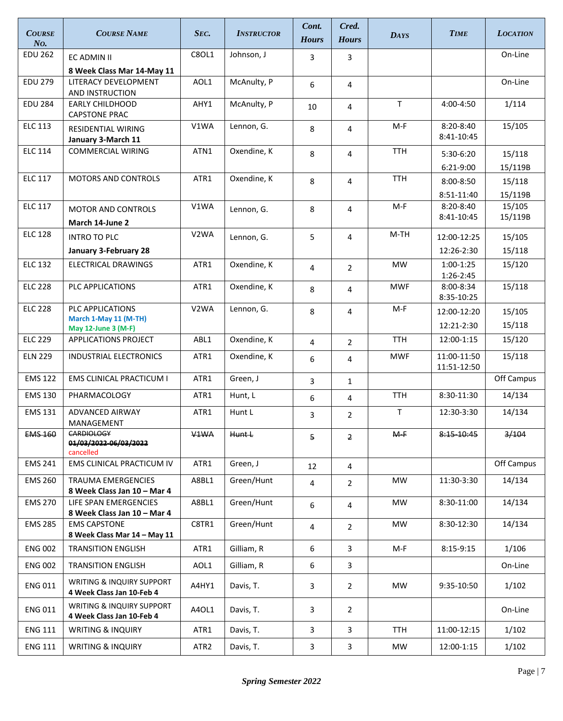| <b>COURSE</b><br>N <sub>O</sub> | <b>COURSE NAME</b>                                      | SEC.              | <b>INSTRUCTOR</b> | Cont.<br><b>Hours</b> | Cred.<br><b>Hours</b>   | <b>DAYS</b> | <b>TIME</b>                 | <b>LOCATION</b>   |
|---------------------------------|---------------------------------------------------------|-------------------|-------------------|-----------------------|-------------------------|-------------|-----------------------------|-------------------|
| <b>EDU 262</b>                  | EC ADMIN II                                             | C8OL1             | Johnson, J        | 3                     | 3                       |             |                             | On-Line           |
|                                 | 8 Week Class Mar 14-May 11                              |                   |                   |                       |                         |             |                             |                   |
| <b>EDU 279</b>                  | LITERACY DEVELOPMENT<br>AND INSTRUCTION                 | AOL1              | McAnulty, P       | 6                     | 4                       |             |                             | On-Line           |
| <b>EDU 284</b>                  | <b>EARLY CHILDHOOD</b><br><b>CAPSTONE PRAC</b>          | AHY1              | McAnulty, P       | 10                    | 4                       | T           | 4:00-4:50                   | 1/114             |
| <b>ELC 113</b>                  | <b>RESIDENTIAL WIRING</b><br>January 3-March 11         | V1WA              | Lennon, G.        | 8                     | 4                       | M-F         | $8:20 - 8:40$<br>8:41-10:45 | 15/105            |
| <b>ELC 114</b>                  | <b>COMMERCIAL WIRING</b>                                | ATN1              | Oxendine, K       | 8                     | $\overline{4}$          | <b>TTH</b>  | 5:30-6:20<br>6:21-9:00      | 15/118<br>15/119B |
| <b>ELC 117</b>                  | <b>MOTORS AND CONTROLS</b>                              | ATR1              | Oxendine, K       | 8                     | 4                       | <b>TTH</b>  | $8:00 - 8:50$<br>8:51-11:40 | 15/118<br>15/119B |
| <b>ELC 117</b>                  | <b>MOTOR AND CONTROLS</b>                               | V1WA              | Lennon, G.        | 8                     | 4                       | $M-F$       | 8:20-8:40<br>8:41-10:45     | 15/105<br>15/119B |
| <b>ELC 128</b>                  | March 14-June 2                                         | V <sub>2</sub> WA |                   |                       |                         | $M-TH$      |                             |                   |
|                                 | <b>INTRO TO PLC</b><br>January 3-February 28            |                   | Lennon, G.        | 5                     | 4                       |             | 12:00-12:25<br>12:26-2:30   | 15/105<br>15/118  |
| <b>ELC 132</b>                  | <b>ELECTRICAL DRAWINGS</b>                              | ATR1              | Oxendine, K       | 4                     | $\overline{2}$          | <b>MW</b>   | 1:00-1:25<br>1:26-2:45      | 15/120            |
| <b>ELC 228</b>                  | PLC APPLICATIONS                                        | ATR1              | Oxendine, K       | 8                     | 4                       | <b>MWF</b>  | 8:00-8:34<br>8:35-10:25     | 15/118            |
| <b>ELC 228</b>                  | <b>PLC APPLICATIONS</b><br>March 1-May 11 (M-TH)        | V <sub>2</sub> WA | Lennon, G.        | 8                     | 4                       | $M-F$       | 12:00-12:20<br>12:21-2:30   | 15/105<br>15/118  |
| <b>ELC 229</b>                  | May 12-June 3 (M-F)<br>APPLICATIONS PROJECT             | ABL1              | Oxendine, K       | 4                     | $\overline{2}$          | <b>TTH</b>  | 12:00-1:15                  | 15/120            |
| <b>ELN 229</b>                  | INDUSTRIAL ELECTRONICS                                  | ATR1              | Oxendine, K       | 6                     | 4                       | <b>MWF</b>  | 11:00-11:50<br>11:51-12:50  | 15/118            |
| <b>EMS 122</b>                  | <b>EMS CLINICAL PRACTICUM I</b>                         | ATR1              | Green, J          | 3                     | $\mathbf{1}$            |             |                             | Off Campus        |
| <b>EMS 130</b>                  | PHARMACOLOGY                                            | ATR1              | Hunt, L           | 6                     | 4                       | <b>TTH</b>  | 8:30-11:30                  | 14/134            |
| <b>EMS 131</b>                  | <b>ADVANCED AIRWAY</b><br>MANAGEMENT                    | ATR1              | Hunt L            | 3                     | $\overline{2}$          | T           | 12:30-3:30                  | 14/134            |
| <b>EMS 160</b>                  | <b>CARDIOLOGY</b><br>01/03/2022 06/03/2022<br>cancelled | V <sub>1</sub> WA | <b>Hunt L</b>     | 5                     | $\overline{2}$          | $M-F$       | 8:15-10:45                  | 3/104             |
| <b>EMS 241</b>                  | EMS CLINICAL PRACTICUM IV                               | ATR1              | Green, J          | 12                    | 4                       |             |                             | Off Campus        |
| <b>EMS 260</b>                  | TRAUMA EMERGENCIES<br>8 Week Class Jan 10 - Mar 4       | A8BL1             | Green/Hunt        | 4                     | $\overline{2}$          | <b>MW</b>   | 11:30-3:30                  | 14/134            |
| <b>EMS 270</b>                  | LIFE SPAN EMERGENCIES<br>8 Week Class Jan 10 - Mar 4    | A8BL1             | Green/Hunt        | 6                     | 4                       | <b>MW</b>   | 8:30-11:00                  | 14/134            |
| <b>EMS 285</b>                  | <b>EMS CAPSTONE</b><br>8 Week Class Mar 14 - May 11     | C8TR1             | Green/Hunt        | 4                     | $\overline{2}$          | MW          | 8:30-12:30                  | 14/134            |
| <b>ENG 002</b>                  | <b>TRANSITION ENGLISH</b>                               | ATR1              | Gilliam, R        | 6                     | 3                       | M-F         | 8:15-9:15                   | 1/106             |
| <b>ENG 002</b>                  | <b>TRANSITION ENGLISH</b>                               | AOL1              | Gilliam, R        | 6                     | 3                       |             |                             | On-Line           |
| <b>ENG 011</b>                  | WRITING & INQUIRY SUPPORT<br>4 Week Class Jan 10-Feb 4  | A4HY1             | Davis, T.         | 3                     | $\overline{2}$          | MW          | 9:35-10:50                  | 1/102             |
| <b>ENG 011</b>                  | WRITING & INQUIRY SUPPORT<br>4 Week Class Jan 10-Feb 4  | A4OL1             | Davis, T.         | 3                     | $\overline{2}$          |             |                             | On-Line           |
| <b>ENG 111</b>                  | <b>WRITING &amp; INQUIRY</b>                            | ATR1              | Davis, T.         | 3                     | 3                       | TTH         | 11:00-12:15                 | 1/102             |
| <b>ENG 111</b>                  | <b>WRITING &amp; INQUIRY</b>                            | ATR <sub>2</sub>  | Davis, T.         | 3                     | $\overline{\mathbf{3}}$ | MW          | 12:00-1:15                  | 1/102             |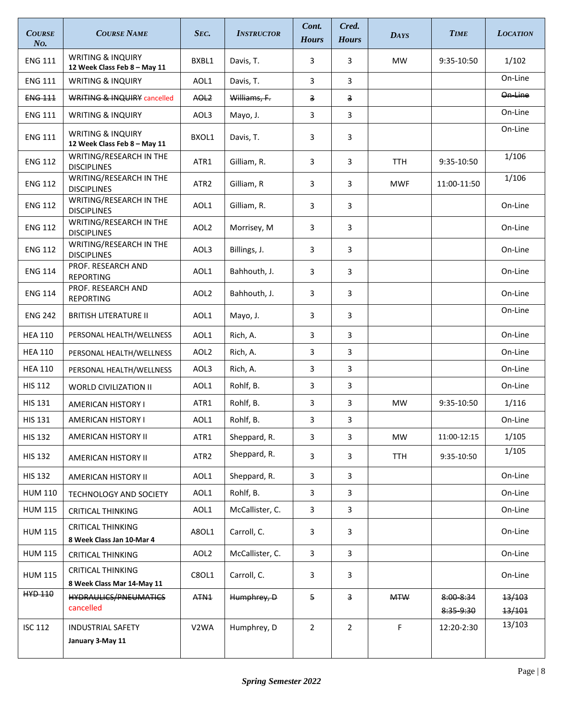| <b>COURSE</b><br>No. | <b>COURSE NAME</b>                                           | SEC.             | <b>INSTRUCTOR</b> | Cont.<br><b>Hours</b> | Cred.<br><b>Hours</b>   | <b>DAYS</b> | <b>TIME</b>            | <b>LOCATION</b>    |
|----------------------|--------------------------------------------------------------|------------------|-------------------|-----------------------|-------------------------|-------------|------------------------|--------------------|
| <b>ENG 111</b>       | <b>WRITING &amp; INQUIRY</b><br>12 Week Class Feb 8 - May 11 | BXBL1            | Davis, T.         | 3                     | 3                       | <b>MW</b>   | 9:35-10:50             | 1/102              |
| <b>ENG 111</b>       | <b>WRITING &amp; INQUIRY</b>                                 | AOL1             | Davis. T.         | 3                     | 3                       |             |                        | On-Line            |
| <b>ENG 111</b>       | <b>WRITING &amp; INQUIRY cancelled</b>                       | AOL <sub>2</sub> | Williams, F.      | З.                    | $\overline{\mathbf{3}}$ |             |                        | <del>On Line</del> |
| <b>ENG 111</b>       | <b>WRITING &amp; INQUIRY</b>                                 | AOL3             | Mayo, J.          | 3                     | 3                       |             |                        | On-Line            |
| <b>ENG 111</b>       | <b>WRITING &amp; INQUIRY</b><br>12 Week Class Feb 8 - May 11 | BXOL1            | Davis, T.         | 3                     | 3                       |             |                        | On-Line            |
| <b>ENG 112</b>       | WRITING/RESEARCH IN THE<br><b>DISCIPLINES</b>                | ATR1             | Gilliam, R.       | 3                     | 3                       | <b>TTH</b>  | 9:35-10:50             | 1/106              |
| <b>ENG 112</b>       | WRITING/RESEARCH IN THE<br><b>DISCIPLINES</b>                | ATR <sub>2</sub> | Gilliam, R        | 3                     | 3                       | <b>MWF</b>  | 11:00-11:50            | 1/106              |
| <b>ENG 112</b>       | WRITING/RESEARCH IN THE<br><b>DISCIPLINES</b>                | AOL1             | Gilliam, R.       | 3                     | 3                       |             |                        | On-Line            |
| <b>ENG 112</b>       | WRITING/RESEARCH IN THE<br><b>DISCIPLINES</b>                | AOL <sub>2</sub> | Morrisey, M       | 3                     | 3                       |             |                        | On-Line            |
| <b>ENG 112</b>       | WRITING/RESEARCH IN THE<br><b>DISCIPLINES</b>                | AOL3             | Billings, J.      | 3                     | 3                       |             |                        | On-Line            |
| <b>ENG 114</b>       | PROF. RESEARCH AND<br><b>REPORTING</b>                       | AOL1             | Bahhouth, J.      | 3                     | 3                       |             |                        | On-Line            |
| <b>ENG 114</b>       | PROF. RESEARCH AND<br><b>REPORTING</b>                       | AOL <sub>2</sub> | Bahhouth, J.      | 3                     | 3                       |             |                        | On-Line            |
| <b>ENG 242</b>       | <b>BRITISH LITERATURE II</b>                                 | AOL1             | Mayo, J.          | 3                     | 3                       |             |                        | On-Line            |
| <b>HEA 110</b>       | PERSONAL HEALTH/WELLNESS                                     | AOL1             | Rich, A.          | 3                     | 3                       |             |                        | On-Line            |
| <b>HEA 110</b>       | PERSONAL HEALTH/WELLNESS                                     | AOL <sub>2</sub> | Rich, A.          | 3                     | 3                       |             |                        | On-Line            |
| <b>HEA 110</b>       | PERSONAL HEALTH/WELLNESS                                     | AOL3             | Rich, A.          | 3                     | 3                       |             |                        | On-Line            |
| <b>HIS 112</b>       | <b>WORLD CIVILIZATION II</b>                                 | AOL1             | Rohlf, B.         | 3                     | 3                       |             |                        | On-Line            |
| <b>HIS 131</b>       | <b>AMERICAN HISTORY I</b>                                    | ATR1             | Rohlf, B.         | 3                     | 3                       | <b>MW</b>   | 9:35-10:50             | 1/116              |
| <b>HIS 131</b>       | <b>AMERICAN HISTORY I</b>                                    | AOL1             | Rohlf, B.         | 3                     | 3                       |             |                        | On-Line            |
| <b>HIS 132</b>       | AMERICAN HISTORY II                                          | ATR1             | Sheppard, R.      | 3                     | 3                       | <b>MW</b>   | 11:00-12:15            | 1/105              |
| <b>HIS 132</b>       | AMERICAN HISTORY II                                          | ATR <sub>2</sub> | Sheppard, R.      | 3                     | 3                       | TTH         | 9:35-10:50             | 1/105              |
| <b>HIS 132</b>       | AMERICAN HISTORY II                                          | AOL1             | Sheppard, R.      | 3                     | 3                       |             |                        | On-Line            |
| <b>HUM 110</b>       | <b>TECHNOLOGY AND SOCIETY</b>                                | AOL1             | Rohlf, B.         | 3                     | 3                       |             |                        | On-Line            |
| <b>HUM 115</b>       | <b>CRITICAL THINKING</b>                                     | AOL1             | McCallister, C.   | 3                     | 3                       |             |                        | On-Line            |
| <b>HUM 115</b>       | <b>CRITICAL THINKING</b><br>8 Week Class Jan 10-Mar 4        | A8OL1            | Carroll, C.       | 3                     | 3                       |             |                        | On-Line            |
| <b>HUM 115</b>       | <b>CRITICAL THINKING</b>                                     | AOL <sub>2</sub> | McCallister, C.   | 3                     | 3                       |             |                        | On-Line            |
| <b>HUM 115</b>       | <b>CRITICAL THINKING</b><br>8 Week Class Mar 14-May 11       | C8OL1            | Carroll, C.       | 3                     | 3                       |             |                        | On-Line            |
| <b>HYD 110</b>       | <b>HYDRAULICS/PNEUMATICS</b><br>cancelled                    | ATN <sub>1</sub> | Humphrey, D       | 5                     | 3                       | <b>MTW</b>  | 8:00 8:34<br>8:35-9:30 | 13/103<br>13/101   |
| <b>ISC 112</b>       | <b>INDUSTRIAL SAFETY</b><br>January 3-May 11                 | V2WA             | Humphrey, D       | $\overline{2}$        | $\overline{2}$          | $\mathsf F$ | 12:20-2:30             | 13/103             |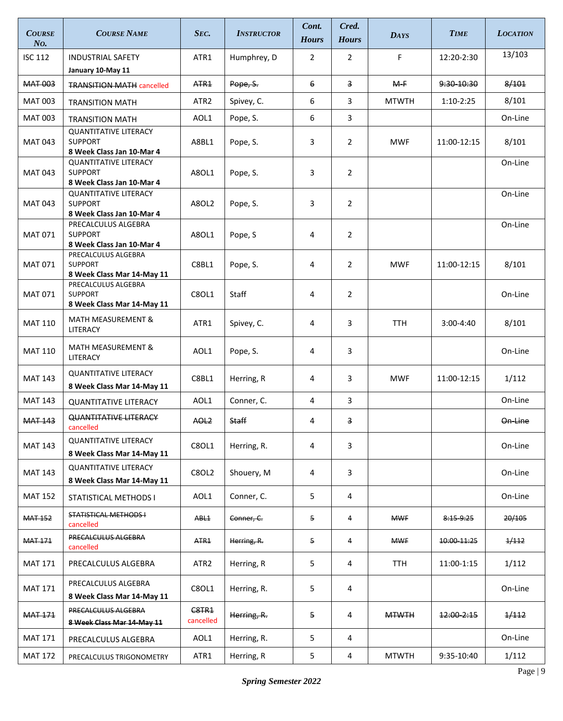| <b>COURSE</b><br>No. | <b>COURSE NAME</b>                                                          | SEC.               | <b>INSTRUCTOR</b> | Cont.<br><b>Hours</b> | Cred.<br><b>Hours</b> | <b>DAYS</b>  | <b>TIME</b>   | <b>LOCATION</b>  |
|----------------------|-----------------------------------------------------------------------------|--------------------|-------------------|-----------------------|-----------------------|--------------|---------------|------------------|
| <b>ISC 112</b>       | <b>INDUSTRIAL SAFETY</b><br>January 10-May 11                               | ATR1               | Humphrey, D       | $\overline{2}$        | $\overline{2}$        | F            | 12:20-2:30    | 13/103           |
| MAT 003              | <b>TRANSITION MATH cancelled</b>                                            | ATR <sub>1</sub>   | Pope, S.          | 6                     | 3                     | $M-F$        | 9:30-10:30    | 8/101            |
| <b>MAT 003</b>       | <b>TRANSITION MATH</b>                                                      | ATR2               | Spivey, C.        | 6                     | 3                     | <b>MTWTH</b> | $1:10-2:25$   | 8/101            |
| <b>MAT 003</b>       | <b>TRANSITION MATH</b>                                                      | AOL1               | Pope, S.          | 6                     | 3                     |              |               | On-Line          |
| MAT 043              | <b>QUANTITATIVE LITERACY</b><br><b>SUPPORT</b><br>8 Week Class Jan 10-Mar 4 | A8BL1              | Pope, S.          | 3                     | $\overline{2}$        | <b>MWF</b>   | 11:00-12:15   | 8/101            |
| MAT 043              | <b>QUANTITATIVE LITERACY</b><br><b>SUPPORT</b><br>8 Week Class Jan 10-Mar 4 | A80L1              | Pope, S.          | 3                     | 2                     |              |               | On-Line          |
| <b>MAT 043</b>       | <b>QUANTITATIVE LITERACY</b><br><b>SUPPORT</b><br>8 Week Class Jan 10-Mar 4 | A8OL2              | Pope, S.          | 3                     | $\overline{2}$        |              |               | On-Line          |
| <b>MAT 071</b>       | PRECALCULUS ALGEBRA<br><b>SUPPORT</b><br>8 Week Class Jan 10-Mar 4          | A8OL1              | Pope, S           | 4                     | $\overline{2}$        |              |               | On-Line          |
| MAT 071              | PRECALCULUS ALGEBRA<br><b>SUPPORT</b><br>8 Week Class Mar 14-May 11         | C8BL1              | Pope, S.          | 4                     | $\overline{2}$        | <b>MWF</b>   | 11:00-12:15   | 8/101            |
| <b>MAT 071</b>       | PRECALCULUS ALGEBRA<br><b>SUPPORT</b><br>8 Week Class Mar 14-May 11         | C8OL1              | Staff             | 4                     | $\overline{2}$        |              |               | On-Line          |
| <b>MAT 110</b>       | <b>MATH MEASUREMENT &amp;</b><br>LITERACY                                   | ATR1               | Spivey, C.        | 4                     | 3                     | <b>TTH</b>   | $3:00 - 4:40$ | 8/101            |
| <b>MAT 110</b>       | <b>MATH MEASUREMENT &amp;</b><br>LITERACY                                   | AOL1               | Pope, S.          | 4                     | 3                     |              |               | On-Line          |
| <b>MAT 143</b>       | <b>QUANTITATIVE LITERACY</b><br>8 Week Class Mar 14-May 11                  | C8BL1              | Herring, R        | 4                     | 3                     | <b>MWF</b>   | 11:00-12:15   | 1/112            |
| <b>MAT 143</b>       | <b>QUANTITATIVE LITERACY</b>                                                | AOL1               | Conner, C.        | 4                     | 3                     |              |               | On-Line          |
| <b>MAT 143</b>       | <b>QUANTITATIVE LITERACY</b><br>cancelled                                   | AOL <sub>2</sub>   | Staff             | 4                     | 3                     |              |               | On-Line          |
| MAT 143              | <b>QUANTITATIVE LITERACY</b><br>8 Week Class Mar 14-May 11                  | C8OL1              | Herring, R.       | 4                     | 3                     |              |               | On-Line          |
| <b>MAT 143</b>       | <b>QUANTITATIVE LITERACY</b><br>8 Week Class Mar 14-May 11                  | <b>C8OL2</b>       | Shouery, M        | 4                     | 3                     |              |               | On-Line          |
| <b>MAT 152</b>       | STATISTICAL METHODS I                                                       | AOL1               | Conner, C.        | 5                     | 4                     |              |               | On-Line          |
| <b>MAT 152</b>       | <b>STATISTICAL METHODS+</b><br>cancelled                                    | ABL <sub>1</sub>   | Conner, C.        | 5                     | 4                     | <b>MWF</b>   | 8:15-9:25     | 20/105           |
| <b>MAT 171</b>       | PRECALCULUS ALGEBRA<br>cancelled                                            | ATR <sub>1</sub>   | Herring, R.       | 5                     | 4                     | <b>MWF</b>   | 10:00-11:25   | 1/112            |
| <b>MAT 171</b>       | PRECALCULUS ALGEBRA                                                         | ATR <sub>2</sub>   | Herring, R        | 5                     | 4                     | <b>TTH</b>   | 11:00-1:15    | 1/112            |
| <b>MAT 171</b>       | PRECALCULUS ALGEBRA<br>8 Week Class Mar 14-May 11                           | C8OL1              | Herring, R.       | 5                     | 4                     |              |               | On-Line          |
| <b>MAT 171</b>       | <b>PRECALCULUS ALGEBRA</b><br>8 Week Class Mar 14 May 11                    | C8TR1<br>cancelled | Herring, R.       | 5                     | 4                     | <b>MTWTH</b> | 12:00-2:15    | <del>1/112</del> |
| <b>MAT 171</b>       | PRECALCULUS ALGEBRA                                                         | AOL1               | Herring, R.       | 5                     | 4                     |              |               | On-Line          |
| <b>MAT 172</b>       | PRECALCULUS TRIGONOMETRY                                                    | ATR1               | Herring, R        | 5                     | 4                     | <b>MTWTH</b> | 9:35-10:40    | 1/112            |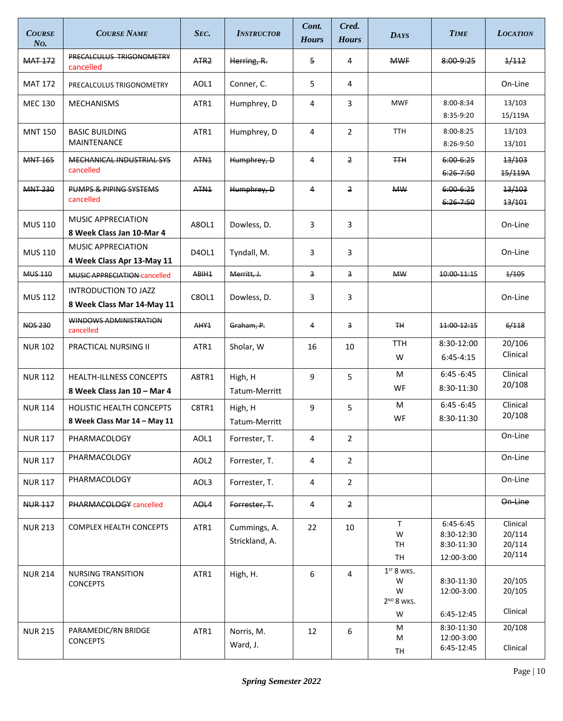| <b>COURSE</b><br>No. | <b>COURSE NAME</b>                                              | Sec.              | <b>INSTRUCTOR</b>              | Cont.<br><b>Hours</b> | Cred.<br><b>Hours</b> | <b>DAYS</b>                                           | <b>TIME</b>                                         | <b>LOCATION</b>                        |
|----------------------|-----------------------------------------------------------------|-------------------|--------------------------------|-----------------------|-----------------------|-------------------------------------------------------|-----------------------------------------------------|----------------------------------------|
| <b>MAT 172</b>       | PRECALCULUS TRIGONOMETRY<br>cancelled                           | ATR <sub>2</sub>  | Herring, R.                    | 5                     | 4                     | <b>MWF</b>                                            | 8:009:25                                            | 1/112                                  |
| <b>MAT 172</b>       | PRECALCULUS TRIGONOMETRY                                        | AOL1              | Conner, C.                     | 5                     | 4                     |                                                       |                                                     | On-Line                                |
| <b>MEC 130</b>       | <b>MECHANISMS</b>                                               | ATR1              | Humphrey, D                    | 4                     | 3                     | <b>MWF</b>                                            | 8:00-8:34<br>8:35-9:20                              | 13/103<br>15/119A                      |
| <b>MNT 150</b>       | <b>BASIC BUILDING</b><br>MAINTENANCE                            | ATR1              | Humphrey, D                    | 4                     | $\overline{2}$        | <b>TTH</b>                                            | 8:00-8:25<br>8:26-9:50                              | 13/103<br>13/101                       |
| <b>MNT 165</b>       | MECHANICAL INDUSTRIAL SYS<br>cancelled                          | ATN <sub>1</sub>  | Humphrey, D                    | 4                     | $\overline{2}$        | <b>TTH</b>                                            | $6:00 - 6:25$<br>$6:26 - 7:50$                      | 13/103<br>15/119A                      |
| <b>MNT 230</b>       | PUMPS & PIPING SYSTEMS<br>cancelled                             | ATN <sub>1</sub>  | Humphrey, D                    | 4                     | $\overline{2}$        | <b>MW</b>                                             | $6:00 - 6:25$<br>$6:26 - 7:50$                      | 13/103<br>13/101                       |
| <b>MUS 110</b>       | <b>MUSIC APPRECIATION</b><br>8 Week Class Jan 10-Mar 4          | A80L1             | Dowless, D.                    | 3                     | 3                     |                                                       |                                                     | On-Line                                |
| <b>MUS 110</b>       | <b>MUSIC APPRECIATION</b><br>4 Week Class Apr 13-May 11         | D40L1             | Tyndall, M.                    | 3                     | 3                     |                                                       |                                                     | On-Line                                |
| <b>MUS 110</b>       | MUSIC APPRECIATION cancelled                                    | ABIH <sub>1</sub> | Merritt, J.                    | 3                     | $\overline{3}$        | <b>MW</b>                                             | 10:00-11:15                                         | 1/105                                  |
| <b>MUS 112</b>       | INTRODUCTION TO JAZZ<br>8 Week Class Mar 14-May 11              | C8OL1             | Dowless, D.                    | 3                     | 3                     |                                                       |                                                     | On-Line                                |
| <b>NOS 230</b>       | WINDOWS ADMINISTRATION<br>cancelled                             | AHY <sub>1</sub>  | Graham, P.                     | 4                     | 3                     | <b>TH</b>                                             | 11:00 12:15                                         | 6/118                                  |
| <b>NUR 102</b>       | PRACTICAL NURSING II                                            | ATR1              | Sholar, W                      | 16                    | 10                    | <b>TTH</b><br>W                                       | 8:30-12:00<br>$6:45-4:15$                           | 20/106<br>Clinical                     |
| <b>NUR 112</b>       | <b>HEALTH-ILLNESS CONCEPTS</b><br>8 Week Class Jan 10 - Mar 4   | A8TR1             | High, H<br>Tatum-Merritt       | 9                     | 5                     | M<br>WF                                               | $6:45 - 6:45$<br>8:30-11:30                         | Clinical<br>20/108                     |
| <b>NUR 114</b>       | <b>HOLISTIC HEALTH CONCEPTS</b><br>8 Week Class Mar 14 - May 11 | C8TR1             | High, H<br>Tatum-Merritt       | 9                     | 5                     | M<br>WF                                               | $6:45 - 6:45$<br>8:30-11:30                         | Clinical<br>20/108                     |
| <b>NUR 117</b>       | PHARMACOLOGY                                                    | AOL1              | Forrester, T.                  | 4                     | 2                     |                                                       |                                                     | On-Line                                |
| <b>NUR 117</b>       | PHARMACOLOGY                                                    | AOL <sub>2</sub>  | Forrester, T.                  | 4                     | 2                     |                                                       |                                                     | On-Line                                |
| <b>NUR 117</b>       | PHARMACOLOGY                                                    | AOL3              | Forrester, T.                  | 4                     | $\overline{2}$        |                                                       |                                                     | On-Line                                |
| <b>NUR 117</b>       | PHARMACOLOGY cancelled                                          | AOL4              | Forrester, T.                  | 4                     | $\overline{2}$        |                                                       |                                                     | On-Line                                |
| <b>NUR 213</b>       | COMPLEX HEALTH CONCEPTS                                         | ATR1              | Cummings, A.<br>Strickland, A. | 22                    | 10                    | T.<br>W<br>TH<br>TH                                   | 6:45-6:45<br>8:30-12:30<br>8:30-11:30<br>12:00-3:00 | Clinical<br>20/114<br>20/114<br>20/114 |
| <b>NUR 214</b>       | <b>NURSING TRANSITION</b><br><b>CONCEPTS</b>                    | ATR1              | High, H.                       | 6                     | 4                     | $1ST 8$ WKS.<br>W<br>W<br>2 <sup>ND</sup> 8 WKS.<br>W | 8:30-11:30<br>12:00-3:00<br>6:45-12:45              | 20/105<br>20/105<br>Clinical           |
| <b>NUR 215</b>       | PARAMEDIC/RN BRIDGE<br><b>CONCEPTS</b>                          | ATR1              | Norris, M.<br>Ward, J.         | 12                    | 6                     | M<br>M<br>TH                                          | 8:30-11:30<br>12:00-3:00<br>6:45-12:45              | 20/108<br>Clinical                     |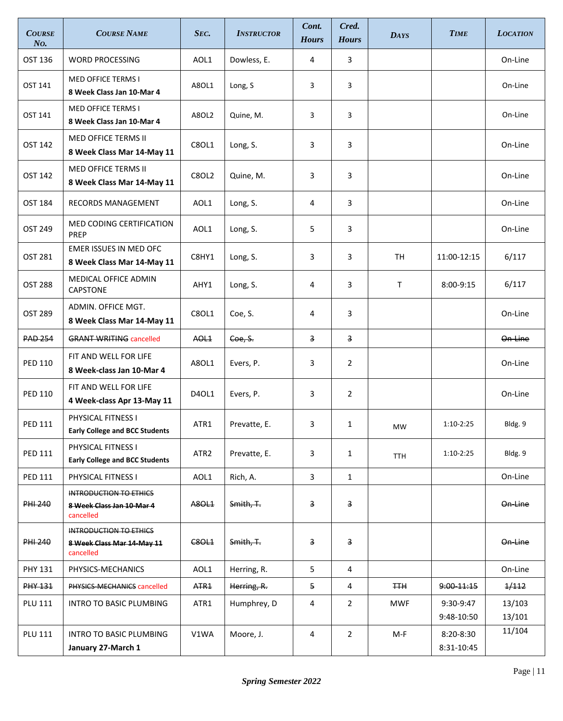| <b>LOCATION</b>  |
|------------------|
| On-Line          |
| On-Line          |
| On-Line          |
| On-Line          |
| On-Line          |
| On-Line          |
| On-Line          |
| 6/117            |
| 6/117            |
| On-Line          |
| On Line          |
| On-Line          |
| On-Line          |
| Bldg. 9          |
| Bldg. 9          |
| On-Line          |
| On Line          |
| On-Line          |
| On-Line          |
| 1/112            |
| 13/103           |
| 13/101<br>11/104 |
|                  |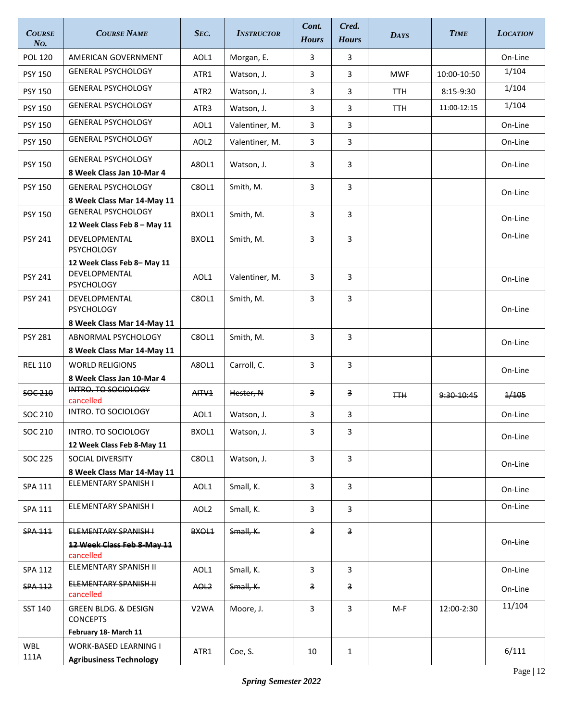| <b>COURSE</b><br>N <sub>O</sub> | <b>COURSE NAME</b>                                               | Sec.             | <b>INSTRUCTOR</b> | Cont.<br><b>Hours</b>   | Cred.<br><b>Hours</b>   | <b>DAYS</b> | <b>TIME</b> | <b>LOCATION</b> |
|---------------------------------|------------------------------------------------------------------|------------------|-------------------|-------------------------|-------------------------|-------------|-------------|-----------------|
| <b>POL 120</b>                  | AMERICAN GOVERNMENT                                              | AOL1             | Morgan, E.        | 3                       | 3                       |             |             | On-Line         |
| <b>PSY 150</b>                  | <b>GENERAL PSYCHOLOGY</b>                                        | ATR1             | Watson, J.        | 3                       | 3                       | <b>MWF</b>  | 10:00-10:50 | 1/104           |
| <b>PSY 150</b>                  | <b>GENERAL PSYCHOLOGY</b>                                        | ATR2             | Watson, J.        | 3                       | 3                       | <b>TTH</b>  | 8:15-9:30   | 1/104           |
| <b>PSY 150</b>                  | <b>GENERAL PSYCHOLOGY</b>                                        | ATR3             | Watson, J.        | 3                       | 3                       | <b>TTH</b>  | 11:00-12:15 | 1/104           |
| <b>PSY 150</b>                  | <b>GENERAL PSYCHOLOGY</b>                                        | AOL1             | Valentiner, M.    | 3                       | 3                       |             |             | On-Line         |
| <b>PSY 150</b>                  | <b>GENERAL PSYCHOLOGY</b>                                        | AOL <sub>2</sub> | Valentiner, M.    | 3                       | 3                       |             |             | On-Line         |
| <b>PSY 150</b>                  | <b>GENERAL PSYCHOLOGY</b><br>8 Week Class Jan 10-Mar 4           | A8OL1            | Watson, J.        | 3                       | 3                       |             |             | On-Line         |
| <b>PSY 150</b>                  | <b>GENERAL PSYCHOLOGY</b>                                        | C8OL1            | Smith, M.         | 3                       | 3                       |             |             | On-Line         |
|                                 | 8 Week Class Mar 14-May 11                                       |                  |                   |                         |                         |             |             |                 |
| <b>PSY 150</b>                  | <b>GENERAL PSYCHOLOGY</b>                                        | BXOL1            | Smith, M.         | 3                       | 3                       |             |             | On-Line         |
|                                 | 12 Week Class Feb 8 - May 11                                     |                  |                   |                         |                         |             |             | On-Line         |
| <b>PSY 241</b>                  | DEVELOPMENTAL<br><b>PSYCHOLOGY</b>                               | BXOL1            | Smith, M.         | 3                       | 3                       |             |             |                 |
|                                 | 12 Week Class Feb 8-May 11                                       |                  |                   |                         |                         |             |             |                 |
| <b>PSY 241</b>                  | DEVELOPMENTAL<br><b>PSYCHOLOGY</b>                               | AOL1             | Valentiner, M.    | 3                       | 3                       |             |             | On-Line         |
| <b>PSY 241</b>                  | DEVELOPMENTAL<br>PSYCHOLOGY                                      | C8OL1            | Smith, M.         | 3                       | 3                       |             |             | On-Line         |
|                                 | 8 Week Class Mar 14-May 11                                       |                  |                   |                         |                         |             |             |                 |
| <b>PSY 281</b>                  | ABNORMAL PSYCHOLOGY                                              | C8OL1            | Smith, M.         | 3                       | 3                       |             |             | On-Line         |
|                                 | 8 Week Class Mar 14-May 11                                       |                  |                   |                         |                         |             |             |                 |
| <b>REL 110</b>                  | <b>WORLD RELIGIONS</b>                                           | A8OL1            | Carroll, C.       | 3                       | 3                       |             |             | On-Line         |
|                                 | 8 Week Class Jan 10-Mar 4<br>INTRO. TO SOCIOLOGY                 |                  |                   |                         |                         |             |             |                 |
| SOC 210                         | cancelled                                                        | AITV1            | Hester, N         | $\overline{\mathbf{3}}$ | $\overline{\mathbf{3}}$ | ŦŦĦ         | 9:30 10:45  | 1/105           |
| SOC 210                         | INTRO. TO SOCIOLOGY                                              | AOL1             | Watson, J.        | 3                       | 3                       |             |             | On-Line         |
| SOC 210                         | INTRO. TO SOCIOLOGY                                              | BXOL1            | Watson, J.        | 3                       | 3                       |             |             | On-Line         |
|                                 | 12 Week Class Feb 8-May 11                                       |                  |                   |                         |                         |             |             |                 |
| <b>SOC 225</b>                  | SOCIAL DIVERSITY                                                 | C8OL1            | Watson, J.        | $\overline{\mathbf{3}}$ | 3                       |             |             | On-Line         |
|                                 | 8 Week Class Mar 14-May 11<br>ELEMENTARY SPANISH I               |                  |                   |                         |                         |             |             |                 |
| SPA 111                         |                                                                  | AOL1             | Small, K.         | 3                       | 3                       |             |             | On-Line         |
| SPA 111                         | ELEMENTARY SPANISH I                                             | AOL <sub>2</sub> | Small, K.         | 3                       | 3                       |             |             | On-Line         |
| <b>SPA 111</b>                  | ELEMENTARY SPANISH-I                                             | BXOL1            | Small, K.         | 3                       | 3                       |             |             |                 |
|                                 | 12 Week Class Feb 8-May 11<br>cancelled                          |                  |                   |                         |                         |             |             | On-Line         |
| SPA 112                         | ELEMENTARY SPANISH II                                            | AOL1             | Small, K.         | 3                       | 3                       |             |             | On-Line         |
| <b>SPA 112</b>                  | ELEMENTARY SPANISH II                                            | AOL <sub>2</sub> | Small, K.         | 3                       | $\overline{\mathbf{3}}$ |             |             | On-Line         |
|                                 | cancelled                                                        |                  |                   |                         |                         |             |             | 11/104          |
| SST 140                         | GREEN BLDG. & DESIGN<br><b>CONCEPTS</b><br>February 18- March 11 | V2WA             | Moore, J.         | 3                       | 3                       | M-F         | 12:00-2:30  |                 |
| WBL                             | <b>WORK-BASED LEARNING I</b>                                     |                  |                   |                         |                         |             |             |                 |
| 111A                            | <b>Agribusiness Technology</b>                                   | ATR1             | Coe, S.           | 10                      | $\mathbf{1}$            |             |             | 6/111           |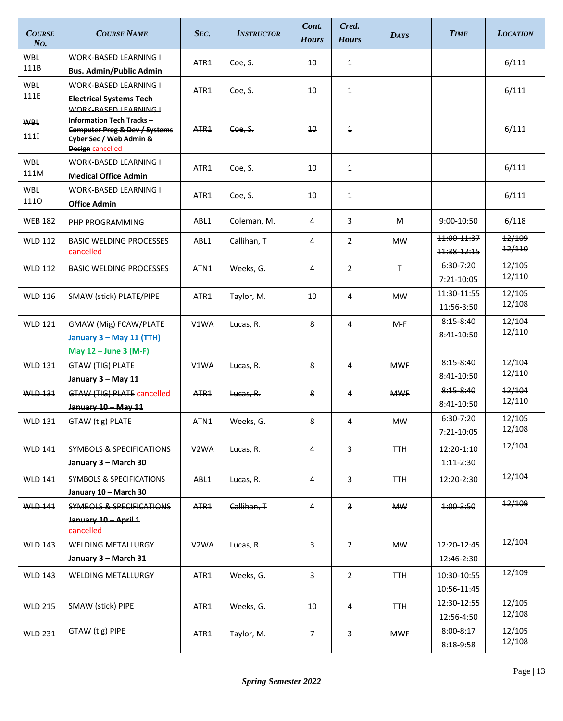| <b>COURSE</b><br>No. | <b>COURSE NAME</b>                                                                                                                | SEC.              | <b>INSTRUCTOR</b> | Cont.<br><b>Hours</b> | Cred.<br><b>Hours</b> | <b>DAYS</b> | <b>TIME</b>                | <b>LOCATION</b>  |
|----------------------|-----------------------------------------------------------------------------------------------------------------------------------|-------------------|-------------------|-----------------------|-----------------------|-------------|----------------------------|------------------|
| <b>WBL</b>           | <b>WORK-BASED LEARNING I</b>                                                                                                      | ATR1              | Coe, S.           | 10                    | $\mathbf{1}$          |             |                            | 6/111            |
| 111B                 | <b>Bus. Admin/Public Admin</b>                                                                                                    |                   |                   |                       |                       |             |                            |                  |
| <b>WBL</b>           | <b>WORK-BASED LEARNING I</b>                                                                                                      | ATR1              | Coe, S.           | 10                    | $\mathbf{1}$          |             |                            | 6/111            |
| 111E                 | <b>Electrical Systems Tech</b><br>WORK-BASED LEARNING I                                                                           |                   |                   |                       |                       |             |                            |                  |
| <b>WBL</b><br>111    | <b>Information Tech Tracks-</b><br><b>Computer Prog &amp; Dev / Systems</b><br>Cyber Sec / Web Admin &<br><b>Design</b> cancelled | ATR <sub>1</sub>  | Coe, S.           | 10 <sup>2</sup>       | $\overline{1}$        |             |                            | 6/111            |
| <b>WBL</b><br>111M   | <b>WORK-BASED LEARNING I</b><br><b>Medical Office Admin</b>                                                                       | ATR1              | Coe, S.           | 10                    | $\mathbf{1}$          |             |                            | 6/111            |
| <b>WBL</b><br>1110   | <b>WORK-BASED LEARNING I</b><br><b>Office Admin</b>                                                                               | ATR1              | Coe, S.           | 10                    | $\mathbf{1}$          |             |                            | 6/111            |
| <b>WEB 182</b>       | PHP PROGRAMMING                                                                                                                   | ABL1              | Coleman, M.       | 4                     | 3                     | M           | $9:00-10:50$               | 6/118            |
| <b>WLD 112</b>       | <b>BASIC WELDING PROCESSES</b><br>cancelled                                                                                       | ABL <sub>1</sub>  | Callihan. T       | 4                     | $\overline{2}$        | <b>MW</b>   | 11:00-11:37<br>11:38-12:15 | 12/109<br>12/110 |
| <b>WLD 112</b>       | <b>BASIC WELDING PROCESSES</b>                                                                                                    | ATN1              | Weeks, G.         | 4                     | $\overline{2}$        | T           | 6:30-7:20<br>7:21-10:05    | 12/105<br>12/110 |
| <b>WLD 116</b>       | SMAW (stick) PLATE/PIPE                                                                                                           | ATR1              | Taylor, M.        | 10                    | 4                     | <b>MW</b>   | 11:30-11:55<br>11:56-3:50  | 12/105<br>12/108 |
| <b>WLD 121</b>       | GMAW (Mig) FCAW/PLATE                                                                                                             | V1WA              | Lucas, R.         | 8                     | 4                     | $M-F$       | $8:15-8:40$                | 12/104<br>12/110 |
|                      | January 3 - May 11 (TTH)                                                                                                          |                   |                   |                       |                       |             | 8:41-10:50                 |                  |
|                      | May 12 - June 3 (M-F)                                                                                                             |                   |                   |                       |                       |             | $8:15 - 8:40$              | 12/104           |
| <b>WLD 131</b>       | <b>GTAW (TIG) PLATE</b>                                                                                                           | V1WA              | Lucas, R.         | 8                     | 4                     | <b>MWF</b>  | 8:41-10:50                 | 12/110           |
| <b>WLD 131</b>       | January 3 - May 11<br><b>GTAW (TIG) PLATE cancelled</b>                                                                           |                   |                   | 8                     | 4                     | <b>MWF</b>  | $8:15 - 8:40$              | 12/104           |
|                      | January 10 - May 11                                                                                                               | ATR <sub>1</sub>  | Lucas, R.         |                       |                       |             | 8:41-10:50                 | 12/110           |
| <b>WLD 131</b>       | GTAW (tig) PLATE                                                                                                                  | ATN1              | Weeks, G.         | 8                     | 4                     | <b>MW</b>   | 6:30-7:20                  | 12/105           |
|                      |                                                                                                                                   |                   |                   |                       |                       |             | 7:21-10:05                 | 12/108           |
| <b>WLD 141</b>       | <b>SYMBOLS &amp; SPECIFICATIONS</b>                                                                                               | V <sub>2</sub> WA | Lucas, R.         | 4                     | 3                     | <b>TTH</b>  | 12:20-1:10                 | 12/104           |
|                      | January 3 - March 30                                                                                                              |                   |                   |                       |                       |             | $1:11-2:30$                |                  |
| <b>WLD 141</b>       | SYMBOLS & SPECIFICATIONS<br>January 10 - March 30                                                                                 | ABL1              | Lucas, R.         | 4                     | 3                     | <b>TTH</b>  | 12:20-2:30                 | 12/104           |
| <b>WLD 141</b>       | <b>SYMBOLS &amp; SPECIFICATIONS</b>                                                                                               | ATR <sub>1</sub>  | Callihan, T       | 4                     | 3                     | <b>MW</b>   | 4:003:50                   | 12/109           |
|                      | January 10 - April 1<br>cancelled                                                                                                 |                   |                   |                       |                       |             |                            |                  |
| <b>WLD 143</b>       | WELDING METALLURGY                                                                                                                | V <sub>2</sub> WA | Lucas, R.         | 3                     | $\overline{2}$        | <b>MW</b>   | 12:20-12:45                | 12/104           |
|                      | January 3 - March 31                                                                                                              |                   |                   |                       |                       |             | 12:46-2:30                 |                  |
| <b>WLD 143</b>       | WELDING METALLURGY                                                                                                                | ATR1              | Weeks, G.         | 3                     | $\overline{2}$        | <b>TTH</b>  | 10:30-10:55                | 12/109           |
|                      |                                                                                                                                   |                   |                   |                       |                       |             | 10:56-11:45                |                  |
| <b>WLD 215</b>       | SMAW (stick) PIPE                                                                                                                 | ATR1              | Weeks, G.         | 10                    | 4                     | <b>TTH</b>  | 12:30-12:55<br>12:56-4:50  | 12/105<br>12/108 |
| <b>WLD 231</b>       | GTAW (tig) PIPE                                                                                                                   | ATR1              | Taylor, M.        | $\overline{7}$        | 3                     | <b>MWF</b>  | 8:00-8:17<br>8:18-9:58     | 12/105<br>12/108 |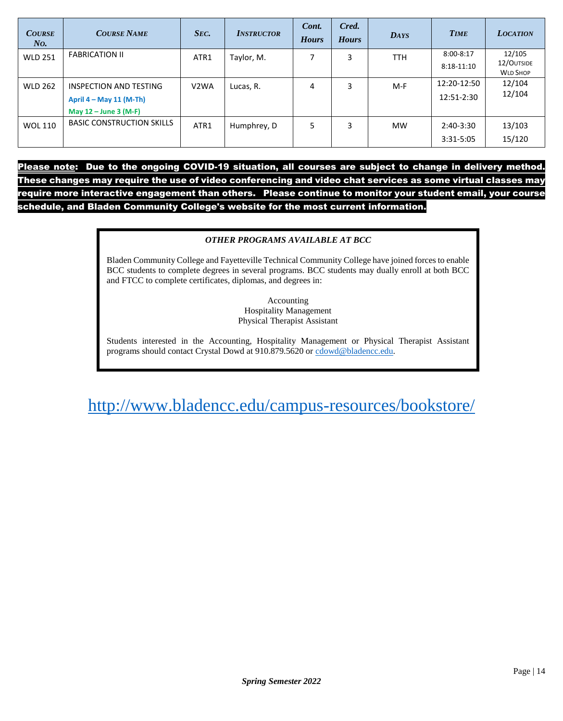| <b>COURSE</b><br>N <sub>O</sub> | <b>COURSE NAME</b>               | SEC.              | <b>INSTRUCTOR</b> | Cont.<br><b>Hours</b> | Cred.<br><b>Hours</b> | <b>DAYS</b> | <b>TIME</b>  | <b>LOCATION</b> |
|---------------------------------|----------------------------------|-------------------|-------------------|-----------------------|-----------------------|-------------|--------------|-----------------|
| <b>WLD 251</b>                  | <b>FABRICATION II</b>            | ATR1              | Taylor, M.        |                       | 3                     | <b>TTH</b>  | 8:00-8:17    | 12/105          |
|                                 |                                  |                   |                   |                       |                       |             | $8:18-11:10$ | 12/OUTSIDE      |
|                                 |                                  |                   |                   |                       |                       |             |              | <b>WLD SHOP</b> |
| <b>WLD 262</b>                  | <b>INSPECTION AND TESTING</b>    | V <sub>2</sub> WA | Lucas, R.         | 4                     | 3                     | M-F         | 12:20-12:50  | 12/104          |
|                                 | April $4 - May 11 (M-Th)$        |                   |                   |                       |                       |             | 12:51-2:30   | 12/104          |
|                                 | May $12 -$ June 3 (M-F)          |                   |                   |                       |                       |             |              |                 |
| <b>WOL 110</b>                  | <b>BASIC CONSTRUCTION SKILLS</b> | ATR1              | Humphrey, D       | 5                     | 3                     | <b>MW</b>   | $2:40-3:30$  | 13/103          |
|                                 |                                  |                   |                   |                       |                       |             | 3:31-5:05    | 15/120          |

Please note: Due to the ongoing COVID-19 situation, all courses are subject to change in delivery method. These changes may require the use of video conferencing and video chat services as some virtual classes may require more interactive engagement than others. Please continue to monitor your student email, your course schedule, and Bladen Community College's website for the most current information.

#### *OTHER PROGRAMS AVAILABLE AT BCC*

Bladen Community College and Fayetteville Technical Community College have joined forces to enable BCC students to complete degrees in several programs. BCC students may dually enroll at both BCC and FTCC to complete certificates, diplomas, and degrees in:

> Accounting Hospitality Management Physical Therapist Assistant

Students interested in the Accounting, Hospitality Management or Physical Therapist Assistant programs should contact Crystal Dowd at 910.879.5620 o[r cdowd@bladencc.edu.](mailto:cdowd@bladencc.edu)

<http://www.bladencc.edu/campus-resources/bookstore/>